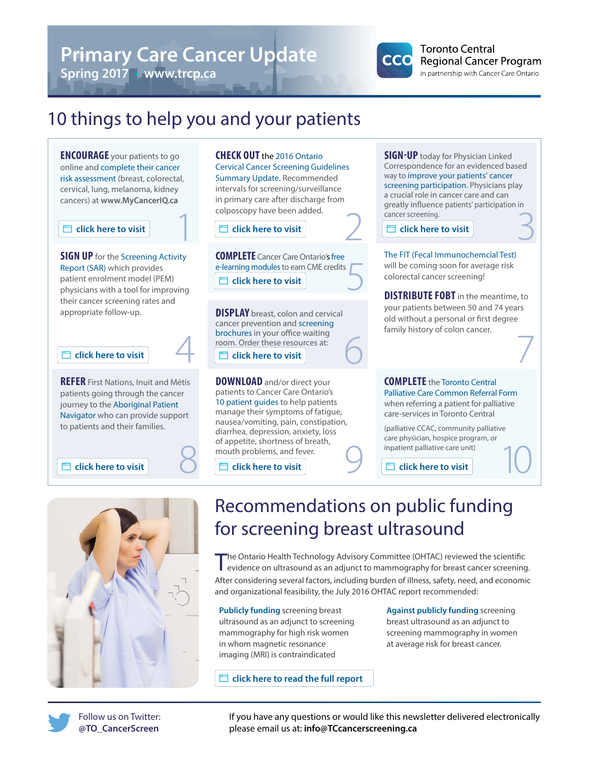# **Primary Care Cancer Update**

4

**Spring 2017** • **www.trcp.ca**



### **Toronto Central Regional Cancer Program** in partnership with Cancer Care Ontario

# 10 things to help you and your patients

**ENCOURAGE** your patients to go online and complete their cancer risk assessment (breast, colorectal, cervical, lung, melanoma, kidney cancers) at **[www.MyCancerIQ.ca](http://www.MyCancerIQ.ca)**

**SIGN UP** for the Screening Activity Report (SAR) which provides patient enrolment model (PEM) physicians with a tool for improving their cancer screening rates and appropriate follow-up. **colume** content model (PEM)<br> **click here to visit**<br>
r cancer screening rates and<br>
ropriate follow-up.<br> **cancer prevention and s**<br> **cancer prevention and s**<br> **cancer prevention and s**<br> **cancer prevention and s**<br> **cancer pr** 

**REFER** First Nations, Inuit and Métis patients going through the cancer journey to the Aboriginal Patient Navigator who can provide support to patients and their families.



**CHECK OUT** the 2016 Ontario Cervical Cancer Screening Guidelines Summary Update. Recommended intervals for screening/surveillance in primary care after discharge from colposcopy have been added.

**click here to visit click here to visit click here to visit**

**COMPLETE** Cancer Care Ontario's free e-learning modules to earn CME credits 5

**DISPLAY** breast, colon and cervical cancer prevention and screening brochures in your office waiting room. Order these resources at:

**DOWNLOAD** and/or direct your patients to Cancer Care Ontario's 10 patient guides to help patients manage their symptoms of fatigue, nausea/vomiting, pain, constipation, diarrhea, depression, anxiety, loss of appetite, shortness of breath, mouth problems, and fever. Solution and Franchise Scholarship of appetite, snortness of breath,<br>
Solution and fever.<br>
Solution and fever.<br>
Solution and fever.<br>
Solution and fever.<br>
Solution and fever.<br>
Solution and fever.<br>
Solution and fever.<br>
Solut

**SIGN-UP** today for Physician Linked Correspondence for an evidenced based way to improve your patients' cancer screening participation. Physicians play a crucial role in cancer care and can greatly influence patients' participation in cancer screening. 1 2 3

The FIT (Fecal Immunochemcial Test) will be coming soon for average risk colorectal cancer screening!

**DISTRIBUTE FOBT** in the meantime, to your patients between 50 and 74 years old without a personal or first degree family history of colon cancer. 6 7

### **COMPLETE** the Toronto Central Palliative Care Common Referral Form

when referring a patient for palliative care-services in Toronto Central

(palliative CCAC, community palliative care physician, hospice program, or inpatient palliative care unit)

**click here to visit click here to visit click here to visit**

# Recommendations on public funding for screening breast ultrasound

The Ontario Health Technology Advisory Committee (OHTAC) reviewed the scientific evidence on ultrasound as an adjunct to mammography for breast cancer screening. After considering several factors, including burden of illness, safety, need, and economic and organizational feasibility, the July 2016 OHTAC report recommended:

**Publicly funding** screening breast ultrasound as an adjunct to screening mammography for high risk women in whom magnetic resonance imaging (MRI) is contraindicated

**C** click here to read the full report

**Against publicly funding** screening breast ultrasound as an adjunct to screening mammography in women at average risk for breast cancer.

Follow us on Twitter: **@TO\_CancerScreen**

If you have any questions or would like this newsletter delivered electronically please email us at: **info@TCcancerscreening.ca**